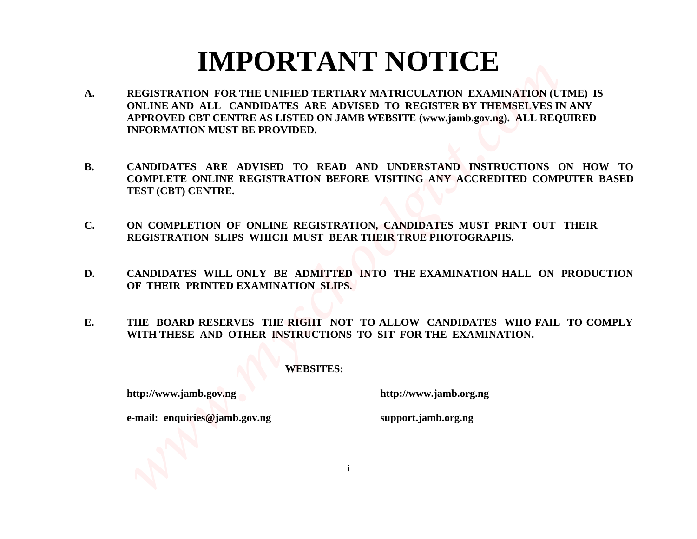## **IMPORTANT NOTICE**

- **A. REGISTRATION FOR THE UNIFIED TERTIARY MATRICULATION EXAMINATION (UTME) IS ONLINE AND ALL CANDIDATES ARE ADVISED TO REGISTER BY THEMSELVES IN ANY APPROVED CBT CENTRE AS LISTED ON JAMB WEBSITE (www.jamb.gov.ng). ALL REQUIRED INFORMATION MUST BE PROVIDED. MPORTANT NOTICE**<br>A REGISTRATION FOR THE UNIFIED TERTIARY MATRICULATION EXAMINATION (UTHE) IS ONLINE AND ALL CANDIDATES ARE ADVISIO TO REGISTER IN THEMSELVES IN ANY APPROVIDED.<br>RECONOLGING ARE ADVISED TO READ AND INDEESTIN
	- **B. CANDIDATES ARE ADVISED TO READ AND UNDERSTAND INSTRUCTIONS ON HOW TO COMPLETE ONLINE REGISTRATION BEFORE VISITING ANY ACCREDITED COMPUTER BASED TEST (CBT) CENTRE.**
	- **C. ON COMPLETION OF ONLINE REGISTRATION, CANDIDATES MUST PRINT OUT THEIR REGISTRATION SLIPS WHICH MUST BEAR THEIR TRUE PHOTOGRAPHS.**
	- **D. CANDIDATES WILL ONLY BE ADMITTED INTO THE EXAMINATION HALL ON PRODUCTION OF THEIR PRINTED EXAMINATION SLIPS.**
	- **E. THE BOARD RESERVES THE RIGHT NOT TO ALLOW CANDIDATES WHO FAIL TO COMPLY WITH THESE AND OTHER INSTRUCTIONS TO SIT FOR THE EXAMINATION.**

i

#### **WEBSITES:**

**http://www.jamb.gov.ng http://www.jamb.org.ng**

**e-mail: enquiries@jamb.gov.ng support.jamb.org.ng**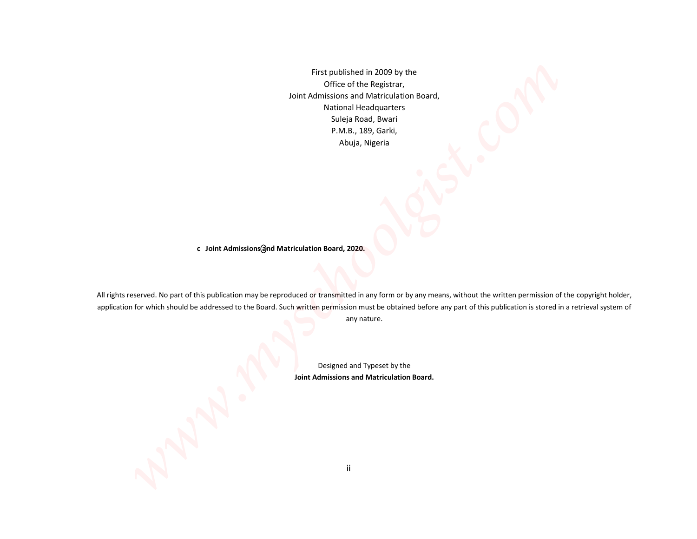First published in 2009 by the Office of the Registrar, Joint Admissions and Matriculation Board, National Headquarters Suleja Road, Bwari P.M.B., 189, Garki, Abuja, Nigeria

c Joint Admissions (and Matriculation Board, 2020.

All rights reserved. No part of this publication may be reproduced or transmitted in any form or by any means, without the written permission of the copyright holder, application for which should be addressed to the Board. Such written permission must be obtained before any part of this publication is stored in a retrieval system of *www.myschoolgist.com*

any nature.

Designed and Typeset by the **Joint Admissions and Matriculation Board.**

ii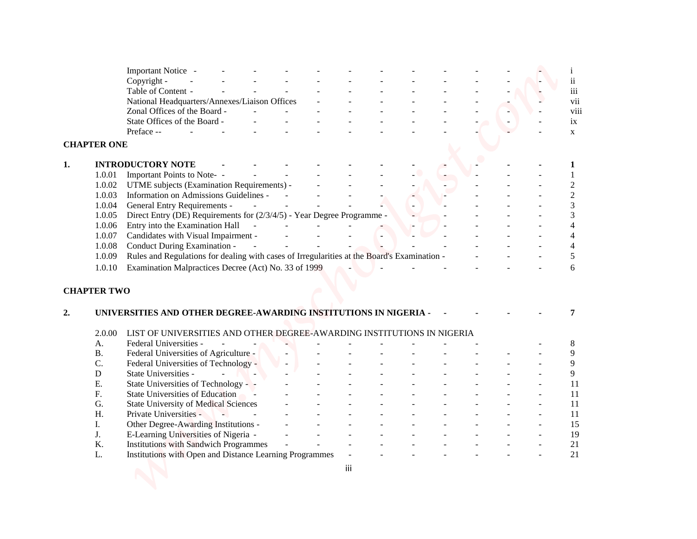| Important Notice -<br>1<br>$\rm ii$<br>Copyright -<br>$\overline{\text{iii}}$<br>Table of Content -<br>vii<br>National Headquarters/Annexes/Liaison Offices<br>viii<br>Zonal Offices of the Board -<br>State Offices of the Board -<br>ix<br>Preface --<br>$\mathbf X$<br><b>CHAPTER ONE</b><br><b>INTRODUCTORY NOTE</b><br>1.0.01<br>Important Points to Note- -<br>$\overline{c}$<br>1.0.02<br>UTME subjects (Examination Requirements) -<br>$\overline{c}$<br>1.0.03<br>Information on Admissions Guidelines -<br>3<br>1.0.04<br><b>General Entry Requirements -</b><br>Direct Entry (DE) Requirements for (2/3/4/5) - Year Degree Programme -<br>3<br>1.0.05<br>Entry into the Examination Hall<br>1.0.06<br>4<br>Candidates with Visual Impairment -<br>1.0.07<br>4<br>1.0.08<br>Conduct During Examination -<br>4<br>Rules and Regulations for dealing with cases of Irregularities at the Board's Examination -<br>5<br>1.0.09<br>1.0.10<br>Examination Malpractices Decree (Act) No. 33 of 1999<br>6<br><b>CHAPTER TWO</b><br>UNIVERSITIES AND OTHER DEGREE-AWARDING INSTITUTIONS IN NIGERIA -<br>7<br>LIST OF UNIVERSITIES AND OTHER DEGREE-AWARDING INSTITUTIONS IN NIGERIA<br>2.0.00<br>Federal Universities -<br>A.<br>8<br><b>B.</b><br>Federal Universities of Agriculture -<br>9<br>C.<br>Federal Universities of Technology -<br>9<br>State Universities -<br>9<br>${\bf D}$<br>$\sim$<br>$\sim$ $\sim$<br>State Universities of Technology -<br>Е.<br>11<br><b>State Universities of Education</b><br>F.<br>11<br>G.<br><b>State University of Medical Sciences</b><br>11<br>H.<br>Private Universities -<br>11<br>$\sim 100$<br>$\sim$<br>Other Degree-Awarding Institutions -<br>15<br>Ι.<br>J.<br>E-Learning Universities of Nigeria -<br>19<br>21<br>K.<br><b>Institutions with Sandwich Programmes</b><br>Institutions with Open and Distance Learning Programmes<br>21<br>L.<br>iii |  |  |  |  |  |  |  |
|------------------------------------------------------------------------------------------------------------------------------------------------------------------------------------------------------------------------------------------------------------------------------------------------------------------------------------------------------------------------------------------------------------------------------------------------------------------------------------------------------------------------------------------------------------------------------------------------------------------------------------------------------------------------------------------------------------------------------------------------------------------------------------------------------------------------------------------------------------------------------------------------------------------------------------------------------------------------------------------------------------------------------------------------------------------------------------------------------------------------------------------------------------------------------------------------------------------------------------------------------------------------------------------------------------------------------------------------------------------------------------------------------------------------------------------------------------------------------------------------------------------------------------------------------------------------------------------------------------------------------------------------------------------------------------------------------------------------------------------------------------------------------------------------------------------------------------------------------------------------------------------------------------|--|--|--|--|--|--|--|
|                                                                                                                                                                                                                                                                                                                                                                                                                                                                                                                                                                                                                                                                                                                                                                                                                                                                                                                                                                                                                                                                                                                                                                                                                                                                                                                                                                                                                                                                                                                                                                                                                                                                                                                                                                                                                                                                                                            |  |  |  |  |  |  |  |
|                                                                                                                                                                                                                                                                                                                                                                                                                                                                                                                                                                                                                                                                                                                                                                                                                                                                                                                                                                                                                                                                                                                                                                                                                                                                                                                                                                                                                                                                                                                                                                                                                                                                                                                                                                                                                                                                                                            |  |  |  |  |  |  |  |
|                                                                                                                                                                                                                                                                                                                                                                                                                                                                                                                                                                                                                                                                                                                                                                                                                                                                                                                                                                                                                                                                                                                                                                                                                                                                                                                                                                                                                                                                                                                                                                                                                                                                                                                                                                                                                                                                                                            |  |  |  |  |  |  |  |
|                                                                                                                                                                                                                                                                                                                                                                                                                                                                                                                                                                                                                                                                                                                                                                                                                                                                                                                                                                                                                                                                                                                                                                                                                                                                                                                                                                                                                                                                                                                                                                                                                                                                                                                                                                                                                                                                                                            |  |  |  |  |  |  |  |
|                                                                                                                                                                                                                                                                                                                                                                                                                                                                                                                                                                                                                                                                                                                                                                                                                                                                                                                                                                                                                                                                                                                                                                                                                                                                                                                                                                                                                                                                                                                                                                                                                                                                                                                                                                                                                                                                                                            |  |  |  |  |  |  |  |
|                                                                                                                                                                                                                                                                                                                                                                                                                                                                                                                                                                                                                                                                                                                                                                                                                                                                                                                                                                                                                                                                                                                                                                                                                                                                                                                                                                                                                                                                                                                                                                                                                                                                                                                                                                                                                                                                                                            |  |  |  |  |  |  |  |
|                                                                                                                                                                                                                                                                                                                                                                                                                                                                                                                                                                                                                                                                                                                                                                                                                                                                                                                                                                                                                                                                                                                                                                                                                                                                                                                                                                                                                                                                                                                                                                                                                                                                                                                                                                                                                                                                                                            |  |  |  |  |  |  |  |
|                                                                                                                                                                                                                                                                                                                                                                                                                                                                                                                                                                                                                                                                                                                                                                                                                                                                                                                                                                                                                                                                                                                                                                                                                                                                                                                                                                                                                                                                                                                                                                                                                                                                                                                                                                                                                                                                                                            |  |  |  |  |  |  |  |
|                                                                                                                                                                                                                                                                                                                                                                                                                                                                                                                                                                                                                                                                                                                                                                                                                                                                                                                                                                                                                                                                                                                                                                                                                                                                                                                                                                                                                                                                                                                                                                                                                                                                                                                                                                                                                                                                                                            |  |  |  |  |  |  |  |
|                                                                                                                                                                                                                                                                                                                                                                                                                                                                                                                                                                                                                                                                                                                                                                                                                                                                                                                                                                                                                                                                                                                                                                                                                                                                                                                                                                                                                                                                                                                                                                                                                                                                                                                                                                                                                                                                                                            |  |  |  |  |  |  |  |
|                                                                                                                                                                                                                                                                                                                                                                                                                                                                                                                                                                                                                                                                                                                                                                                                                                                                                                                                                                                                                                                                                                                                                                                                                                                                                                                                                                                                                                                                                                                                                                                                                                                                                                                                                                                                                                                                                                            |  |  |  |  |  |  |  |
|                                                                                                                                                                                                                                                                                                                                                                                                                                                                                                                                                                                                                                                                                                                                                                                                                                                                                                                                                                                                                                                                                                                                                                                                                                                                                                                                                                                                                                                                                                                                                                                                                                                                                                                                                                                                                                                                                                            |  |  |  |  |  |  |  |
|                                                                                                                                                                                                                                                                                                                                                                                                                                                                                                                                                                                                                                                                                                                                                                                                                                                                                                                                                                                                                                                                                                                                                                                                                                                                                                                                                                                                                                                                                                                                                                                                                                                                                                                                                                                                                                                                                                            |  |  |  |  |  |  |  |
|                                                                                                                                                                                                                                                                                                                                                                                                                                                                                                                                                                                                                                                                                                                                                                                                                                                                                                                                                                                                                                                                                                                                                                                                                                                                                                                                                                                                                                                                                                                                                                                                                                                                                                                                                                                                                                                                                                            |  |  |  |  |  |  |  |
|                                                                                                                                                                                                                                                                                                                                                                                                                                                                                                                                                                                                                                                                                                                                                                                                                                                                                                                                                                                                                                                                                                                                                                                                                                                                                                                                                                                                                                                                                                                                                                                                                                                                                                                                                                                                                                                                                                            |  |  |  |  |  |  |  |
|                                                                                                                                                                                                                                                                                                                                                                                                                                                                                                                                                                                                                                                                                                                                                                                                                                                                                                                                                                                                                                                                                                                                                                                                                                                                                                                                                                                                                                                                                                                                                                                                                                                                                                                                                                                                                                                                                                            |  |  |  |  |  |  |  |
|                                                                                                                                                                                                                                                                                                                                                                                                                                                                                                                                                                                                                                                                                                                                                                                                                                                                                                                                                                                                                                                                                                                                                                                                                                                                                                                                                                                                                                                                                                                                                                                                                                                                                                                                                                                                                                                                                                            |  |  |  |  |  |  |  |
|                                                                                                                                                                                                                                                                                                                                                                                                                                                                                                                                                                                                                                                                                                                                                                                                                                                                                                                                                                                                                                                                                                                                                                                                                                                                                                                                                                                                                                                                                                                                                                                                                                                                                                                                                                                                                                                                                                            |  |  |  |  |  |  |  |
|                                                                                                                                                                                                                                                                                                                                                                                                                                                                                                                                                                                                                                                                                                                                                                                                                                                                                                                                                                                                                                                                                                                                                                                                                                                                                                                                                                                                                                                                                                                                                                                                                                                                                                                                                                                                                                                                                                            |  |  |  |  |  |  |  |
|                                                                                                                                                                                                                                                                                                                                                                                                                                                                                                                                                                                                                                                                                                                                                                                                                                                                                                                                                                                                                                                                                                                                                                                                                                                                                                                                                                                                                                                                                                                                                                                                                                                                                                                                                                                                                                                                                                            |  |  |  |  |  |  |  |
|                                                                                                                                                                                                                                                                                                                                                                                                                                                                                                                                                                                                                                                                                                                                                                                                                                                                                                                                                                                                                                                                                                                                                                                                                                                                                                                                                                                                                                                                                                                                                                                                                                                                                                                                                                                                                                                                                                            |  |  |  |  |  |  |  |
|                                                                                                                                                                                                                                                                                                                                                                                                                                                                                                                                                                                                                                                                                                                                                                                                                                                                                                                                                                                                                                                                                                                                                                                                                                                                                                                                                                                                                                                                                                                                                                                                                                                                                                                                                                                                                                                                                                            |  |  |  |  |  |  |  |
|                                                                                                                                                                                                                                                                                                                                                                                                                                                                                                                                                                                                                                                                                                                                                                                                                                                                                                                                                                                                                                                                                                                                                                                                                                                                                                                                                                                                                                                                                                                                                                                                                                                                                                                                                                                                                                                                                                            |  |  |  |  |  |  |  |
|                                                                                                                                                                                                                                                                                                                                                                                                                                                                                                                                                                                                                                                                                                                                                                                                                                                                                                                                                                                                                                                                                                                                                                                                                                                                                                                                                                                                                                                                                                                                                                                                                                                                                                                                                                                                                                                                                                            |  |  |  |  |  |  |  |
|                                                                                                                                                                                                                                                                                                                                                                                                                                                                                                                                                                                                                                                                                                                                                                                                                                                                                                                                                                                                                                                                                                                                                                                                                                                                                                                                                                                                                                                                                                                                                                                                                                                                                                                                                                                                                                                                                                            |  |  |  |  |  |  |  |
|                                                                                                                                                                                                                                                                                                                                                                                                                                                                                                                                                                                                                                                                                                                                                                                                                                                                                                                                                                                                                                                                                                                                                                                                                                                                                                                                                                                                                                                                                                                                                                                                                                                                                                                                                                                                                                                                                                            |  |  |  |  |  |  |  |
|                                                                                                                                                                                                                                                                                                                                                                                                                                                                                                                                                                                                                                                                                                                                                                                                                                                                                                                                                                                                                                                                                                                                                                                                                                                                                                                                                                                                                                                                                                                                                                                                                                                                                                                                                                                                                                                                                                            |  |  |  |  |  |  |  |
|                                                                                                                                                                                                                                                                                                                                                                                                                                                                                                                                                                                                                                                                                                                                                                                                                                                                                                                                                                                                                                                                                                                                                                                                                                                                                                                                                                                                                                                                                                                                                                                                                                                                                                                                                                                                                                                                                                            |  |  |  |  |  |  |  |
|                                                                                                                                                                                                                                                                                                                                                                                                                                                                                                                                                                                                                                                                                                                                                                                                                                                                                                                                                                                                                                                                                                                                                                                                                                                                                                                                                                                                                                                                                                                                                                                                                                                                                                                                                                                                                                                                                                            |  |  |  |  |  |  |  |
|                                                                                                                                                                                                                                                                                                                                                                                                                                                                                                                                                                                                                                                                                                                                                                                                                                                                                                                                                                                                                                                                                                                                                                                                                                                                                                                                                                                                                                                                                                                                                                                                                                                                                                                                                                                                                                                                                                            |  |  |  |  |  |  |  |
|                                                                                                                                                                                                                                                                                                                                                                                                                                                                                                                                                                                                                                                                                                                                                                                                                                                                                                                                                                                                                                                                                                                                                                                                                                                                                                                                                                                                                                                                                                                                                                                                                                                                                                                                                                                                                                                                                                            |  |  |  |  |  |  |  |
|                                                                                                                                                                                                                                                                                                                                                                                                                                                                                                                                                                                                                                                                                                                                                                                                                                                                                                                                                                                                                                                                                                                                                                                                                                                                                                                                                                                                                                                                                                                                                                                                                                                                                                                                                                                                                                                                                                            |  |  |  |  |  |  |  |
|                                                                                                                                                                                                                                                                                                                                                                                                                                                                                                                                                                                                                                                                                                                                                                                                                                                                                                                                                                                                                                                                                                                                                                                                                                                                                                                                                                                                                                                                                                                                                                                                                                                                                                                                                                                                                                                                                                            |  |  |  |  |  |  |  |
|                                                                                                                                                                                                                                                                                                                                                                                                                                                                                                                                                                                                                                                                                                                                                                                                                                                                                                                                                                                                                                                                                                                                                                                                                                                                                                                                                                                                                                                                                                                                                                                                                                                                                                                                                                                                                                                                                                            |  |  |  |  |  |  |  |
|                                                                                                                                                                                                                                                                                                                                                                                                                                                                                                                                                                                                                                                                                                                                                                                                                                                                                                                                                                                                                                                                                                                                                                                                                                                                                                                                                                                                                                                                                                                                                                                                                                                                                                                                                                                                                                                                                                            |  |  |  |  |  |  |  |
|                                                                                                                                                                                                                                                                                                                                                                                                                                                                                                                                                                                                                                                                                                                                                                                                                                                                                                                                                                                                                                                                                                                                                                                                                                                                                                                                                                                                                                                                                                                                                                                                                                                                                                                                                                                                                                                                                                            |  |  |  |  |  |  |  |
|                                                                                                                                                                                                                                                                                                                                                                                                                                                                                                                                                                                                                                                                                                                                                                                                                                                                                                                                                                                                                                                                                                                                                                                                                                                                                                                                                                                                                                                                                                                                                                                                                                                                                                                                                                                                                                                                                                            |  |  |  |  |  |  |  |
|                                                                                                                                                                                                                                                                                                                                                                                                                                                                                                                                                                                                                                                                                                                                                                                                                                                                                                                                                                                                                                                                                                                                                                                                                                                                                                                                                                                                                                                                                                                                                                                                                                                                                                                                                                                                                                                                                                            |  |  |  |  |  |  |  |
|                                                                                                                                                                                                                                                                                                                                                                                                                                                                                                                                                                                                                                                                                                                                                                                                                                                                                                                                                                                                                                                                                                                                                                                                                                                                                                                                                                                                                                                                                                                                                                                                                                                                                                                                                                                                                                                                                                            |  |  |  |  |  |  |  |
|                                                                                                                                                                                                                                                                                                                                                                                                                                                                                                                                                                                                                                                                                                                                                                                                                                                                                                                                                                                                                                                                                                                                                                                                                                                                                                                                                                                                                                                                                                                                                                                                                                                                                                                                                                                                                                                                                                            |  |  |  |  |  |  |  |
|                                                                                                                                                                                                                                                                                                                                                                                                                                                                                                                                                                                                                                                                                                                                                                                                                                                                                                                                                                                                                                                                                                                                                                                                                                                                                                                                                                                                                                                                                                                                                                                                                                                                                                                                                                                                                                                                                                            |  |  |  |  |  |  |  |
|                                                                                                                                                                                                                                                                                                                                                                                                                                                                                                                                                                                                                                                                                                                                                                                                                                                                                                                                                                                                                                                                                                                                                                                                                                                                                                                                                                                                                                                                                                                                                                                                                                                                                                                                                                                                                                                                                                            |  |  |  |  |  |  |  |
|                                                                                                                                                                                                                                                                                                                                                                                                                                                                                                                                                                                                                                                                                                                                                                                                                                                                                                                                                                                                                                                                                                                                                                                                                                                                                                                                                                                                                                                                                                                                                                                                                                                                                                                                                                                                                                                                                                            |  |  |  |  |  |  |  |
|                                                                                                                                                                                                                                                                                                                                                                                                                                                                                                                                                                                                                                                                                                                                                                                                                                                                                                                                                                                                                                                                                                                                                                                                                                                                                                                                                                                                                                                                                                                                                                                                                                                                                                                                                                                                                                                                                                            |  |  |  |  |  |  |  |
|                                                                                                                                                                                                                                                                                                                                                                                                                                                                                                                                                                                                                                                                                                                                                                                                                                                                                                                                                                                                                                                                                                                                                                                                                                                                                                                                                                                                                                                                                                                                                                                                                                                                                                                                                                                                                                                                                                            |  |  |  |  |  |  |  |
|                                                                                                                                                                                                                                                                                                                                                                                                                                                                                                                                                                                                                                                                                                                                                                                                                                                                                                                                                                                                                                                                                                                                                                                                                                                                                                                                                                                                                                                                                                                                                                                                                                                                                                                                                                                                                                                                                                            |  |  |  |  |  |  |  |
|                                                                                                                                                                                                                                                                                                                                                                                                                                                                                                                                                                                                                                                                                                                                                                                                                                                                                                                                                                                                                                                                                                                                                                                                                                                                                                                                                                                                                                                                                                                                                                                                                                                                                                                                                                                                                                                                                                            |  |  |  |  |  |  |  |
|                                                                                                                                                                                                                                                                                                                                                                                                                                                                                                                                                                                                                                                                                                                                                                                                                                                                                                                                                                                                                                                                                                                                                                                                                                                                                                                                                                                                                                                                                                                                                                                                                                                                                                                                                                                                                                                                                                            |  |  |  |  |  |  |  |
|                                                                                                                                                                                                                                                                                                                                                                                                                                                                                                                                                                                                                                                                                                                                                                                                                                                                                                                                                                                                                                                                                                                                                                                                                                                                                                                                                                                                                                                                                                                                                                                                                                                                                                                                                                                                                                                                                                            |  |  |  |  |  |  |  |
|                                                                                                                                                                                                                                                                                                                                                                                                                                                                                                                                                                                                                                                                                                                                                                                                                                                                                                                                                                                                                                                                                                                                                                                                                                                                                                                                                                                                                                                                                                                                                                                                                                                                                                                                                                                                                                                                                                            |  |  |  |  |  |  |  |
|                                                                                                                                                                                                                                                                                                                                                                                                                                                                                                                                                                                                                                                                                                                                                                                                                                                                                                                                                                                                                                                                                                                                                                                                                                                                                                                                                                                                                                                                                                                                                                                                                                                                                                                                                                                                                                                                                                            |  |  |  |  |  |  |  |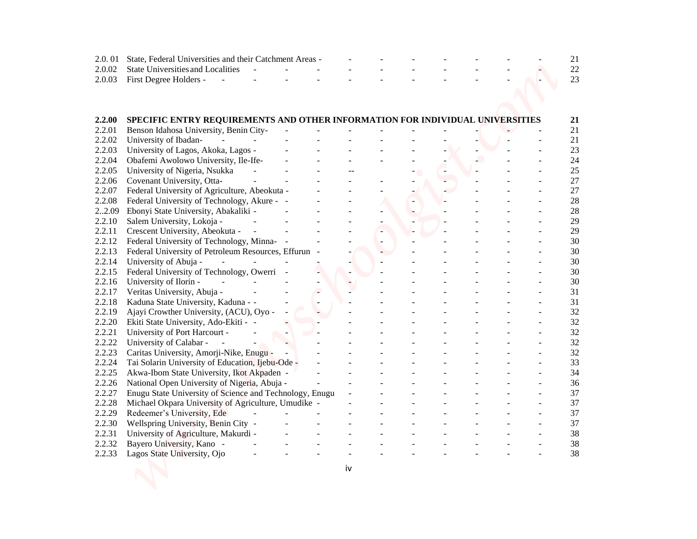| 2.0.01           | State, Federal Universities and their Catchment Areas -                          |  |  |  |  |
|------------------|----------------------------------------------------------------------------------|--|--|--|--|
| 2.0.02           | <b>State Universities and Localities</b>                                         |  |  |  |  |
| 2.0.03           | First Degree Holders -<br>$\omega$                                               |  |  |  |  |
|                  |                                                                                  |  |  |  |  |
|                  |                                                                                  |  |  |  |  |
|                  |                                                                                  |  |  |  |  |
| 2.2.00           | SPECIFIC ENTRY REQUIREMENTS AND OTHER INFORMATION FOR INDIVIDUAL UNIVERSITIES    |  |  |  |  |
| 2.2.01           | Benson Idahosa University, Benin City-                                           |  |  |  |  |
| 2.2.02           | University of Ibadan-<br>$\sim$<br>$\sim$ $^{-1}$                                |  |  |  |  |
| 2.2.03           | University of Lagos, Akoka, Lagos -                                              |  |  |  |  |
| 2.2.04           | Obafemi Awolowo University, Ile-Ife-                                             |  |  |  |  |
| 2.2.05           | University of Nigeria, Nsukka                                                    |  |  |  |  |
| 2.2.06           | Covenant University, Otta-                                                       |  |  |  |  |
| 2.2.07           | Federal University of Agriculture, Abeokuta -                                    |  |  |  |  |
| 2.2.08           | Federal University of Technology, Akure - -                                      |  |  |  |  |
| 22.09            | Ebonyi State University, Abakaliki -                                             |  |  |  |  |
| 2.2.10           | Salem University, Lokoja -                                                       |  |  |  |  |
| 2.2.11           | Crescent University, Abeokuta -                                                  |  |  |  |  |
| 2.2.12           | Federal University of Technology, Minna-                                         |  |  |  |  |
| 2.2.13           | Federal University of Petroleum Resources, Effurun -                             |  |  |  |  |
| 2.2.14           | University of Abuja -                                                            |  |  |  |  |
| 2.2.15           | Federal University of Technology, Owerri                                         |  |  |  |  |
| 2.2.16           | University of Ilorin -                                                           |  |  |  |  |
| 2.2.17           | Veritas University, Abuja -                                                      |  |  |  |  |
| 2.2.18           | Kaduna State University, Kaduna - -                                              |  |  |  |  |
| 2.2.19<br>2.2.20 | Ajayi Crowther University, (ACU), Oyo -<br>Ekiti State University, Ado-Ekiti - - |  |  |  |  |
| 2.2.21           | University of Port Harcourt -                                                    |  |  |  |  |
| 2.2.22           | University of Calabar -                                                          |  |  |  |  |
| 2.2.23           | Caritas University, Amorji-Nike, Enugu -                                         |  |  |  |  |
| 2.2.24           | Tai Solarin University of Education, Ijebu-Ode -                                 |  |  |  |  |
| 2.2.25           | Akwa-Ibom State University, Ikot Akpaden -                                       |  |  |  |  |
| 2.2.26           | National Open University of Nigeria, Abuja -                                     |  |  |  |  |
| 2.2.27           | Enugu State University of Science and Technology, Enugu                          |  |  |  |  |
| 2.2.28           | Michael Okpara University of Agriculture, Umudike -                              |  |  |  |  |
| 2.2.29           | Redeemer's University, Ede                                                       |  |  |  |  |
| 2.2.30           | Wellspring University, Benin City -                                              |  |  |  |  |
| 2.2.31           | University of Agriculture, Makurdi -                                             |  |  |  |  |
| 2.2.32           | Bayero University, Kano -                                                        |  |  |  |  |
| 2.2.33           | Lagos State University, Ojo                                                      |  |  |  |  |
|                  |                                                                                  |  |  |  |  |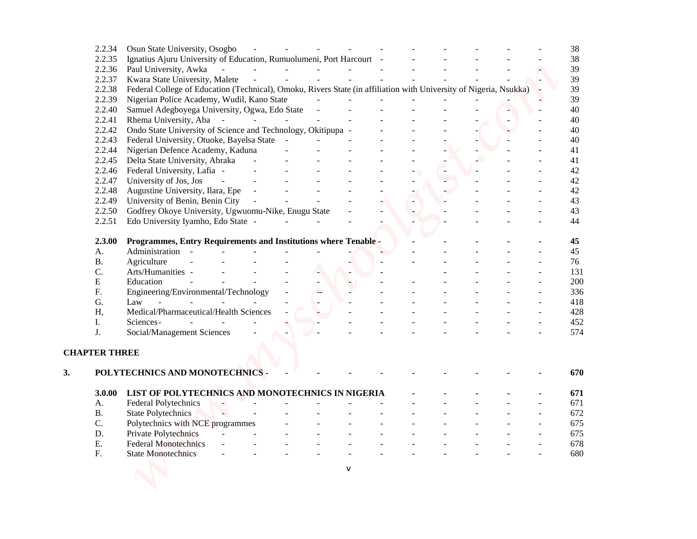|            | 2.2.34               | Osun State University, Osogbo                                                                                     |                   |                     |              |                |  |  |  | 38  |
|------------|----------------------|-------------------------------------------------------------------------------------------------------------------|-------------------|---------------------|--------------|----------------|--|--|--|-----|
|            | 2.2.35               | Ignatius Ajuru University of Education, Rumuolumeni, Port Harcourt -                                              |                   |                     |              |                |  |  |  | 38  |
|            | 2.2.36               | Paul University, Awka<br>$\sim$                                                                                   |                   |                     |              |                |  |  |  | 39  |
|            | 2.2.37               | Kwara State University, Malete                                                                                    |                   |                     |              |                |  |  |  | 39  |
|            | 2.2.38               | Federal College of Education (Technical), Omoku, Rivers State (in affiliation with University of Nigeria, Nsukka) |                   |                     |              |                |  |  |  | 39  |
|            | 2.2.39               | Nigerian Police Academy, Wudil, Kano State                                                                        |                   |                     |              |                |  |  |  | 39  |
|            | 2.2.40               | Samuel Adegboyega University, Ogwa, Edo State                                                                     |                   |                     |              |                |  |  |  | 40  |
|            | 2.2.41               | Rhema University, Aba -                                                                                           | <b>Contractor</b> | $\omega_{\rm{eff}}$ | $\mathbf{r}$ | $\blacksquare$ |  |  |  | 40  |
|            | 2.2.42               | Ondo State University of Science and Technology, Okitipupa -                                                      |                   |                     |              |                |  |  |  | 40  |
|            | 2.2.43               | Federal University, Otuoke, Bayelsa State -                                                                       |                   |                     |              |                |  |  |  | 40  |
|            | 2.2.44               | Nigerian Defence Academy, Kaduna                                                                                  |                   |                     |              |                |  |  |  | 41  |
|            | 2.2.45               | Delta State University, Abraka                                                                                    |                   |                     |              |                |  |  |  | 41  |
|            | 2.2.46               | Federal University, Lafia -                                                                                       |                   |                     |              |                |  |  |  | 42  |
|            | 2.2.47               | University of Jos, Jos                                                                                            |                   |                     |              |                |  |  |  | 42  |
|            | 2.2.48               | Augustine University, Ilara, Epe                                                                                  | $\sim$ $-$        |                     |              |                |  |  |  | 42  |
|            | 2.2.49               | University of Benin, Benin City                                                                                   | $\sim$ $-$        |                     |              |                |  |  |  | 43  |
|            | 2.2.50               |                                                                                                                   |                   |                     |              |                |  |  |  | 43  |
|            | 2.2.51               | Godfrey Okoye University, Ugwuomu-Nike, Enugu State<br>Edo University Iyamho, Edo State -                         |                   |                     |              |                |  |  |  | 44  |
|            |                      |                                                                                                                   |                   |                     |              |                |  |  |  |     |
|            | 2.3.00               | Programmes, Entry Requirements and Institutions where Tenable -                                                   |                   |                     |              |                |  |  |  | 45  |
| A.         |                      | Administration -                                                                                                  |                   |                     |              |                |  |  |  | 45  |
| <b>B.</b>  |                      | Agriculture                                                                                                       |                   |                     |              |                |  |  |  | 76  |
| C.         |                      | Arts/Humanities -                                                                                                 |                   |                     |              |                |  |  |  | 131 |
| E          |                      | Education                                                                                                         |                   |                     |              |                |  |  |  | 200 |
| F.         |                      | Engineering/Environmental/Technology                                                                              |                   |                     |              |                |  |  |  | 336 |
| G.         |                      | Law                                                                                                               |                   |                     |              |                |  |  |  | 418 |
| Η,         |                      | Medical/Pharmaceutical/Health Sciences                                                                            |                   |                     |              |                |  |  |  | 428 |
| I.         |                      | Sciences-                                                                                                         |                   |                     |              |                |  |  |  | 452 |
| J.         |                      | Social/Management Sciences                                                                                        |                   |                     |              |                |  |  |  | 574 |
|            | <b>CHAPTER THREE</b> |                                                                                                                   |                   |                     |              |                |  |  |  |     |
|            |                      |                                                                                                                   |                   |                     |              |                |  |  |  |     |
|            |                      | POLYTECHNICS AND MONOTECHNICS -                                                                                   |                   |                     |              |                |  |  |  | 670 |
|            | 3.0.00               | LIST OF POLYTECHNICS AND MONOTECHNICS IN NIGERIA                                                                  |                   |                     |              |                |  |  |  | 671 |
| A.         |                      | Federal Polytechnics                                                                                              |                   |                     |              |                |  |  |  | 671 |
| <b>B.</b>  |                      | <b>State Polytechnics</b>                                                                                         |                   |                     |              |                |  |  |  | 672 |
| C.         |                      | Polytechnics with NCE programmes                                                                                  |                   |                     |              |                |  |  |  | 675 |
| D.         |                      | Private Polytechnics                                                                                              |                   |                     |              |                |  |  |  | 675 |
| Ε.         |                      | <b>Federal Monotechnics</b>                                                                                       |                   |                     |              |                |  |  |  | 678 |
| ${\bf F}.$ |                      | <b>State Monotechnics</b>                                                                                         |                   |                     |              |                |  |  |  | 680 |
|            |                      |                                                                                                                   |                   |                     |              |                |  |  |  |     |
|            |                      |                                                                                                                   |                   |                     |              | v              |  |  |  |     |
|            |                      |                                                                                                                   |                   |                     |              |                |  |  |  |     |
|            |                      |                                                                                                                   |                   |                     |              |                |  |  |  |     |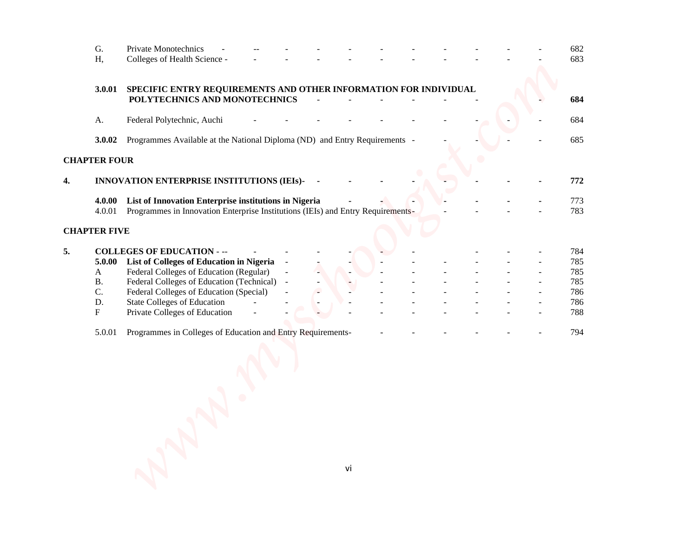|    | G.                  | Private Monotechnics                                                                                                                     |  |    |  |  |  | 682        |  |
|----|---------------------|------------------------------------------------------------------------------------------------------------------------------------------|--|----|--|--|--|------------|--|
|    | Η,                  | Colleges of Health Science -                                                                                                             |  |    |  |  |  | 683        |  |
|    | 3.0.01              | SPECIFIC ENTRY REQUIREMENTS AND OTHER INFORMATION FOR INDIVIDUAL<br>POLYTECHNICS AND MONOTECHNICS                                        |  |    |  |  |  | 684        |  |
|    | A.                  | Federal Polytechnic, Auchi                                                                                                               |  |    |  |  |  | 684        |  |
|    | 3.0.02              | Programmes Available at the National Diploma (ND) and Entry Requirements -                                                               |  |    |  |  |  | 685        |  |
|    | <b>CHAPTER FOUR</b> |                                                                                                                                          |  |    |  |  |  |            |  |
| 4. |                     | INNOVATION ENTERPRISE INSTITUTIONS (IEIs)-                                                                                               |  |    |  |  |  | 772        |  |
|    | 4.0.00<br>4.0.01    | List of Innovation Enterprise institutions in Nigeria<br>Programmes in Innovation Enterprise Institutions (IEIs) and Entry Requirements- |  |    |  |  |  | 773<br>783 |  |
|    | <b>CHAPTER FIVE</b> |                                                                                                                                          |  |    |  |  |  |            |  |
| 5. |                     | <b>COLLEGES OF EDUCATION - --</b>                                                                                                        |  |    |  |  |  | 784        |  |
|    | 5.0.00<br>A         | List of Colleges of Education in Nigeria<br>Federal Colleges of Education (Regular)                                                      |  |    |  |  |  | 785<br>785 |  |
|    | <b>B.</b>           | Federal Colleges of Education (Technical) -                                                                                              |  |    |  |  |  | 785        |  |
|    | $\mathbf{C}$ .      | Federal Colleges of Education (Special)                                                                                                  |  |    |  |  |  | 786        |  |
|    | D.                  | <b>State Colleges of Education</b>                                                                                                       |  |    |  |  |  | 786        |  |
|    | $\mathbf F$         | Private Colleges of Education                                                                                                            |  |    |  |  |  | 788        |  |
|    | 5.0.01              | Programmes in Colleges of Education and Entry Requirements-                                                                              |  |    |  |  |  | 794        |  |
|    |                     |                                                                                                                                          |  |    |  |  |  |            |  |
|    |                     |                                                                                                                                          |  |    |  |  |  |            |  |
|    |                     |                                                                                                                                          |  | vi |  |  |  |            |  |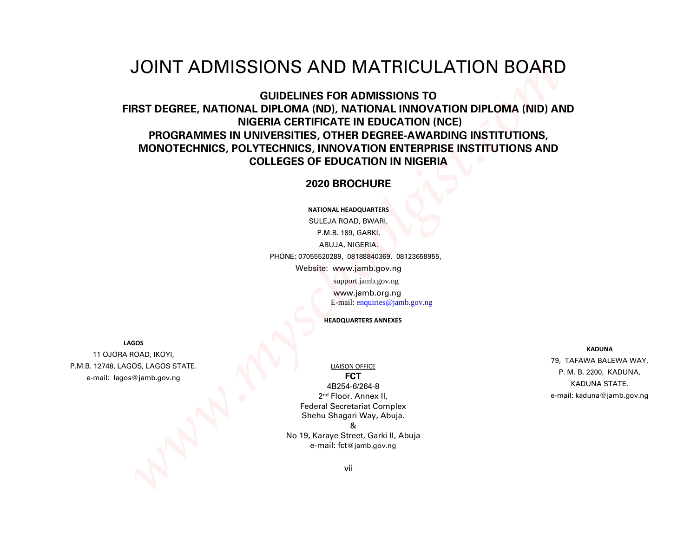### JOINT ADMISSIONS AND MATRICULATION BOARD

# **GUIDELINES FOR ADMISSIONS TO FIRST DEGREE, NATIONAL DIPLOMA (ND), NATIONAL INNOVATION DIPLOMA (NID) AND NIGERIA CERTIFICATE IN EDUCATION (NCE) PROGRAMMES IN UNIVERSITIES, OTHER DEGREE-AWARDING INSTITUTIONS, MONOTECHNICS, POLYTECHNICS, INNOVATION ENTERPRISE INSTITUTIONS AND COLLEGES OF EDUCATION IN NIGERIA**  *Windows And Maximidation School (Windows And School (Windows And School (Windows And School (Windows And School (Windows And School (Windows And School (Windows And School (Windows And School (Windows And School (Windows*

#### **2020 BROCHURE**

**NATIONAL HEADQUARTERS**

SULEJA ROAD, BWARI, P.M.B. 189, GARKI, ABUJA, NIGERIA. PHONE: 07055520289, 08188840369, 08123658955, Website: www.jamb.gov.ng support.jamb.gov.ng www.jamb.org.ng E-mail: enquiries@jamb.gov.ng

**HEADQUARTERS ANNEXES**

**LAGOS**

11 OJORA ROAD, IKOYI, P.M.B. 12748, LAGOS, LAGOS STATE. e-mail: lagos@jamb.gov.ng

#### LIAISON OFFICE

**FCT** 4B254-6/264-8 2 nd Floor. Annex II, Federal Secretariat Complex Shehu Shagari Way, Abuja. & No 19, Karaye Street, Garki II, Abuja e-mail: fct@jamb.gov.ng

**KADUNA** 79, TAFAWA BALEWA WAY, P. M. B. 2200, KADUNA, KADUNA STATE. e-mail: kaduna@jamb.gov.ng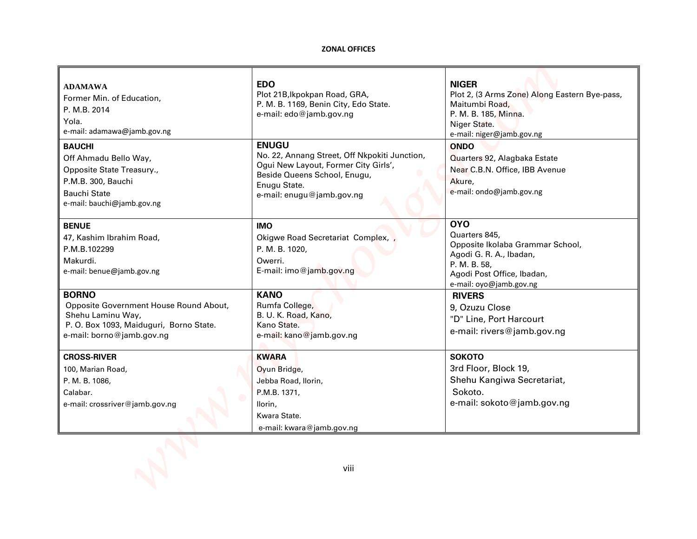#### **ZONAL OFFICES**

| <b>ZONAL OFFICES</b>                                                                                                                                                               |                                                                                                                                                                     |
|------------------------------------------------------------------------------------------------------------------------------------------------------------------------------------|---------------------------------------------------------------------------------------------------------------------------------------------------------------------|
| <b>EDO</b><br>Plot 21B, Ikpokpan Road, GRA,<br>P. M. B. 1169, Benin City, Edo State.<br>e-mail: edo@jamb.gov.ng                                                                    | <b>NIGER</b><br>Plot 2, (3 Arms Zone) Along Eastern Bye-pass,<br>Maitumbi Road,<br>P. M. B. 185, Minna.<br>Niger State.<br>e-mail: niger@jamb.gov.ng                |
| <b>ENUGU</b><br>No. 22, Annang Street, Off Nkpokiti Junction,<br>Ogui New Layout, Former City Girls',<br>Beside Queens School, Enugu,<br>Enugu State.<br>e-mail: enugu@jamb.gov.ng | <b>ONDO</b><br>Quarters 92, Alagbaka Estate<br>Near C.B.N. Office, IBB Avenue<br>Akure,<br>e-mail: ondo@jamb.gov.ng                                                 |
| <b>IMO</b><br>Okigwe Road Secretariat Complex,<br>P. M. B. 1020,<br>Owerri.<br>E-mail: imo@jamb.gov.ng                                                                             | <b>OYO</b><br>Quarters 845,<br>Opposite Ikolaba Grammar School,<br>Agodi G. R. A., Ibadan,<br>P. M. B. 58,<br>Agodi Post Office, Ibadan,<br>e-mail: oyo@jamb.gov.ng |
| <b>KANO</b><br>Rumfa College,<br>B. U. K. Road, Kano,<br>Kano State.<br>e-mail: kano@jamb.gov.ng                                                                                   | <b>RIVERS</b><br>9, Ozuzu Close<br>"D" Line, Port Harcourt<br>e-mail: rivers@jamb.gov.ng                                                                            |
| <b>KWARA</b><br>Oyun Bridge,<br>Jebba Road, Ilorin,<br>P.M.B. 1371,<br>llorin,<br>Kwara State.<br>e-mail: kwara@jamb.gov.ng                                                        | <b>SOKOTO</b><br>3rd Floor, Block 19,<br>Shehu Kangiwa Secretariat,<br>Sokoto.<br>e-mail: sokoto@jamb.gov.ng                                                        |
|                                                                                                                                                                                    |                                                                                                                                                                     |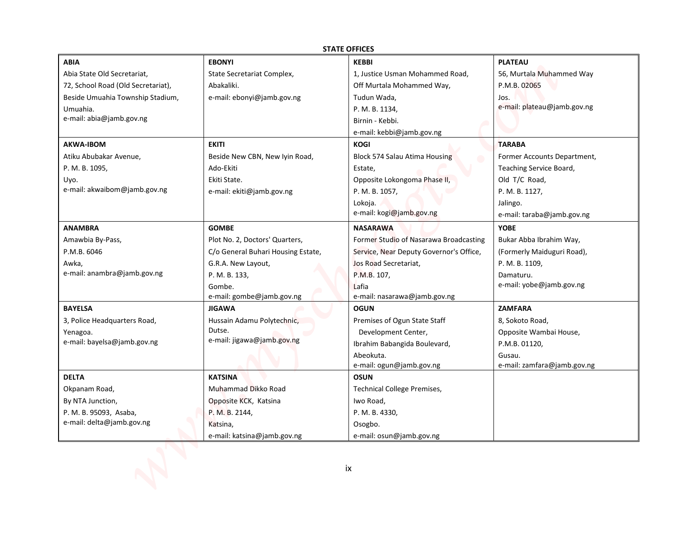|                                    |                                     | <b>STATE OFFICES</b>                    |                                       |
|------------------------------------|-------------------------------------|-----------------------------------------|---------------------------------------|
| <b>ABIA</b>                        | <b>EBONYI</b>                       | <b>KEBBI</b>                            | <b>PLATEAU</b>                        |
| Abia State Old Secretariat,        | State Secretariat Complex,          | 1, Justice Usman Mohammed Road,         | 56, Murtala Muhammed Way              |
| 72, School Road (Old Secretariat), | Abakaliki.                          | Off Murtala Mohammed Way,               | P.M.B. 02065                          |
| Beside Umuahia Township Stadium,   | e-mail: ebonyi@jamb.gov.ng          | Tudun Wada,                             | Jos.                                  |
| Umuahia.                           |                                     | P. M. B. 1134,                          | e-mail: plateau@jamb.gov.ng           |
| e-mail: abia@jamb.gov.ng           |                                     | Birnin - Kebbi.                         |                                       |
|                                    |                                     | e-mail: kebbi@jamb.gov.ng               |                                       |
| <b>AKWA-IBOM</b>                   | <b>EKITI</b>                        | <b>KOGI</b>                             | <b>TARABA</b>                         |
| Atiku Abubakar Avenue,             | Beside New CBN, New Iyin Road,      | Block 574 Salau Atima Housing           | Former Accounts Department,           |
| P. M. B. 1095,                     | Ado-Ekiti                           | Estate,                                 | Teaching Service Board,               |
| Uyo.                               | Ekiti State.                        | Opposite Lokongoma Phase II,            | Old T/C Road,                         |
| e-mail: akwaibom@jamb.gov.ng       | e-mail: ekiti@jamb.gov.ng           | P. M. B. 1057,                          | P. M. B. 1127,                        |
|                                    |                                     | Lokoja.                                 | Jalingo.                              |
|                                    |                                     | e-mail: kogi@jamb.gov.ng                | e-mail: taraba@jamb.gov.ng            |
| <b>ANAMBRA</b>                     | <b>GOMBE</b>                        | <b>NASARAWA</b>                         | <b>YOBE</b>                           |
| Amawbia By-Pass,                   | Plot No. 2, Doctors' Quarters,      | Former Studio of Nasarawa Broadcasting  | Bukar Abba Ibrahim Way,               |
| P.M.B. 6046                        | C/o General Buhari Housing Estate,  | Service, Near Deputy Governor's Office, | (Formerly Maiduguri Road),            |
| Awka,                              | G.R.A. New Layout,                  | Jos Road Secretariat,                   | P. M. B. 1109,                        |
| e-mail: anambra@jamb.gov.ng        | P. M. B. 133,                       | P.M.B. 107,                             | Damaturu.<br>e-mail: yobe@jamb.gov.ng |
|                                    | Gombe.<br>e-mail: gombe@jamb.gov.ng | Lafia<br>e-mail: nasarawa@jamb.gov.ng   |                                       |
| <b>BAYELSA</b>                     | <b>JIGAWA</b>                       | <b>OGUN</b>                             | <b>ZAMFARA</b>                        |
| 3, Police Headquarters Road,       | Hussain Adamu Polytechnic,          | Premises of Ogun State Staff            | 8, Sokoto Road,                       |
| Yenagoa.                           | Dutse.                              | Development Center,                     | Opposite Wambai House,                |
| e-mail: bayelsa@jamb.gov.ng        | e-mail: jigawa@jamb.gov.ng          | Ibrahim Babangida Boulevard,            | P.M.B. 01120,                         |
|                                    |                                     | Abeokuta.                               | Gusau.                                |
|                                    |                                     | e-mail: ogun@jamb.gov.ng                | e-mail: zamfara@jamb.gov.ng           |
| <b>DELTA</b>                       | <b>KATSINA</b>                      | <b>OSUN</b>                             |                                       |
| Okpanam Road,                      | Muhammad Dikko Road                 | <b>Technical College Premises,</b>      |                                       |
| By NTA Junction,                   | Opposite KCK, Katsina               | Iwo Road,                               |                                       |
| P. M. B. 95093, Asaba,             | P. M. B. 2144,                      | P. M. B. 4330,                          |                                       |
| e-mail: delta@jamb.gov.ng          | Katsina,                            | Osogbo.                                 |                                       |
|                                    | e-mail: katsina@jamb.gov.ng         | e-mail: osun@jamb.gov.ng                |                                       |